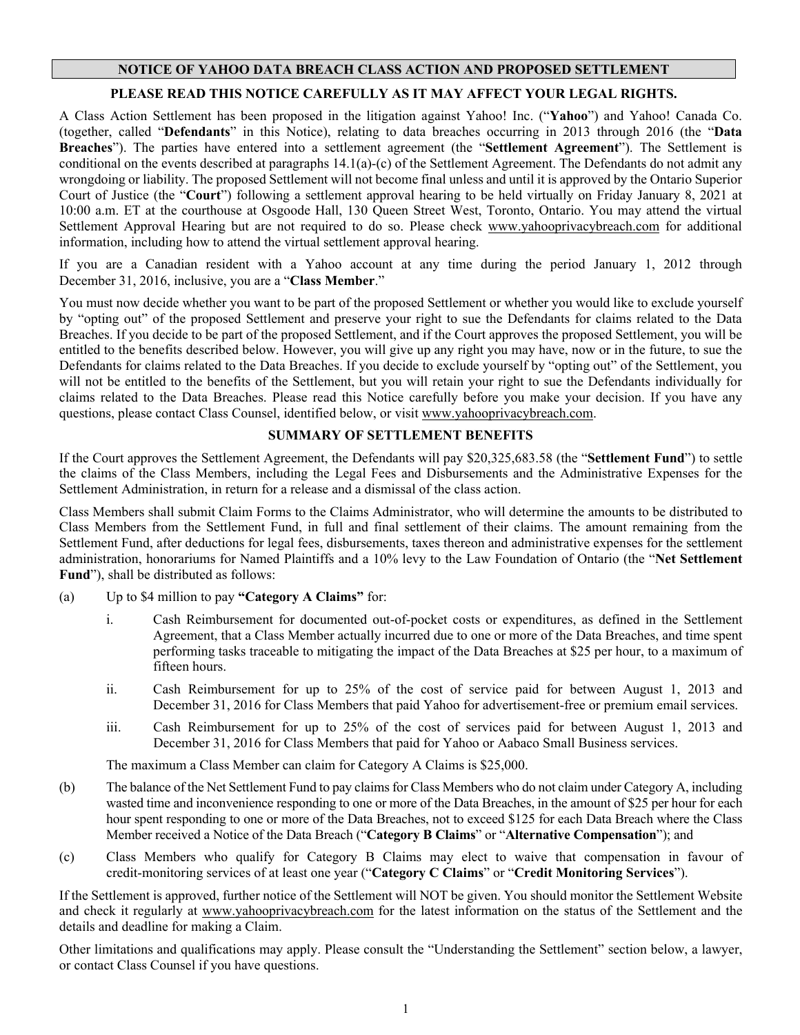# **NOTICE OF YAHOO DATA BREACH CLASS ACTION AND PROPOSED SETTLEMENT**

# **PLEASE READ THIS NOTICE CAREFULLY AS IT MAY AFFECT YOUR LEGAL RIGHTS.**

A Class Action Settlement has been proposed in the litigation against Yahoo! Inc. ("**Yahoo**") and Yahoo! Canada Co. (together, called "**Defendants**" in this Notice), relating to data breaches occurring in 2013 through 2016 (the "**Data Breaches**"). The parties have entered into a settlement agreement (the "**Settlement Agreement**"). The Settlement is conditional on the events described at paragraphs 14.1(a)-(c) of the Settlement Agreement. The Defendants do not admit any wrongdoing or liability. The proposed Settlement will not become final unless and until it is approved by the Ontario Superior Court of Justice (the "**Court**") following a settlement approval hearing to be held virtually on Friday January 8, 2021 at 10:00 a.m. ET at the courthouse at Osgoode Hall, 130 Queen Street West, Toronto, Ontario. You may attend the virtual Settlement Approval Hearing but are not required to do so. Please check www.yahooprivacybreach.com for additional information, including how to attend the virtual settlement approval hearing.

If you are a Canadian resident with a Yahoo account at any time during the period January 1, 2012 through December 31, 2016, inclusive, you are a "**Class Member**."

You must now decide whether you want to be part of the proposed Settlement or whether you would like to exclude yourself by "opting out" of the proposed Settlement and preserve your right to sue the Defendants for claims related to the Data Breaches. If you decide to be part of the proposed Settlement, and if the Court approves the proposed Settlement, you will be entitled to the benefits described below. However, you will give up any right you may have, now or in the future, to sue the Defendants for claims related to the Data Breaches. If you decide to exclude yourself by "opting out" of the Settlement, you will not be entitled to the benefits of the Settlement, but you will retain your right to sue the Defendants individually for claims related to the Data Breaches. Please read this Notice carefully before you make your decision. If you have any questions, please contact Class Counsel, identified below, or visit www.yahooprivacybreach.com.

## **SUMMARY OF SETTLEMENT BENEFITS**

If the Court approves the Settlement Agreement, the Defendants will pay \$20,325,683.58 (the "**Settlement Fund**") to settle the claims of the Class Members, including the Legal Fees and Disbursements and the Administrative Expenses for the Settlement Administration, in return for a release and a dismissal of the class action.

Class Members shall submit Claim Forms to the Claims Administrator, who will determine the amounts to be distributed to Class Members from the Settlement Fund, in full and final settlement of their claims. The amount remaining from the Settlement Fund, after deductions for legal fees, disbursements, taxes thereon and administrative expenses for the settlement administration, honorariums for Named Plaintiffs and a 10% levy to the Law Foundation of Ontario (the "**Net Settlement Fund**"), shall be distributed as follows:

- (a) Up to \$4 million to pay **"Category A Claims"** for:
	- i. Cash Reimbursement for documented out-of-pocket costs or expenditures, as defined in the Settlement Agreement, that a Class Member actually incurred due to one or more of the Data Breaches, and time spent performing tasks traceable to mitigating the impact of the Data Breaches at \$25 per hour, to a maximum of fifteen hours.
	- ii. Cash Reimbursement for up to 25% of the cost of service paid for between August 1, 2013 and December 31, 2016 for Class Members that paid Yahoo for advertisement-free or premium email services.
	- iii. Cash Reimbursement for up to 25% of the cost of services paid for between August 1, 2013 and December 31, 2016 for Class Members that paid for Yahoo or Aabaco Small Business services.

The maximum a Class Member can claim for Category A Claims is \$25,000.

- (b) The balance of the Net Settlement Fund to pay claims for Class Members who do not claim under Category A, including wasted time and inconvenience responding to one or more of the Data Breaches, in the amount of \$25 per hour for each hour spent responding to one or more of the Data Breaches, not to exceed \$125 for each Data Breach where the Class Member received a Notice of the Data Breach ("**Category B Claims**" or "**Alternative Compensation**"); and
- (c) Class Members who qualify for Category B Claims may elect to waive that compensation in favour of credit-monitoring services of at least one year ("**Category C Claims**" or "**Credit Monitoring Services**").

If the Settlement is approved, further notice of the Settlement will NOT be given. You should monitor the Settlement Website and check it regularly at [www.yahooprivacybreach.com](http://www.yahooprivacybreach.com/) for the latest information on the status of the Settlement and the details and deadline for making a Claim.

Other limitations and qualifications may apply. Please consult the "Understanding the Settlement" section below, a lawyer, or contact Class Counsel if you have questions.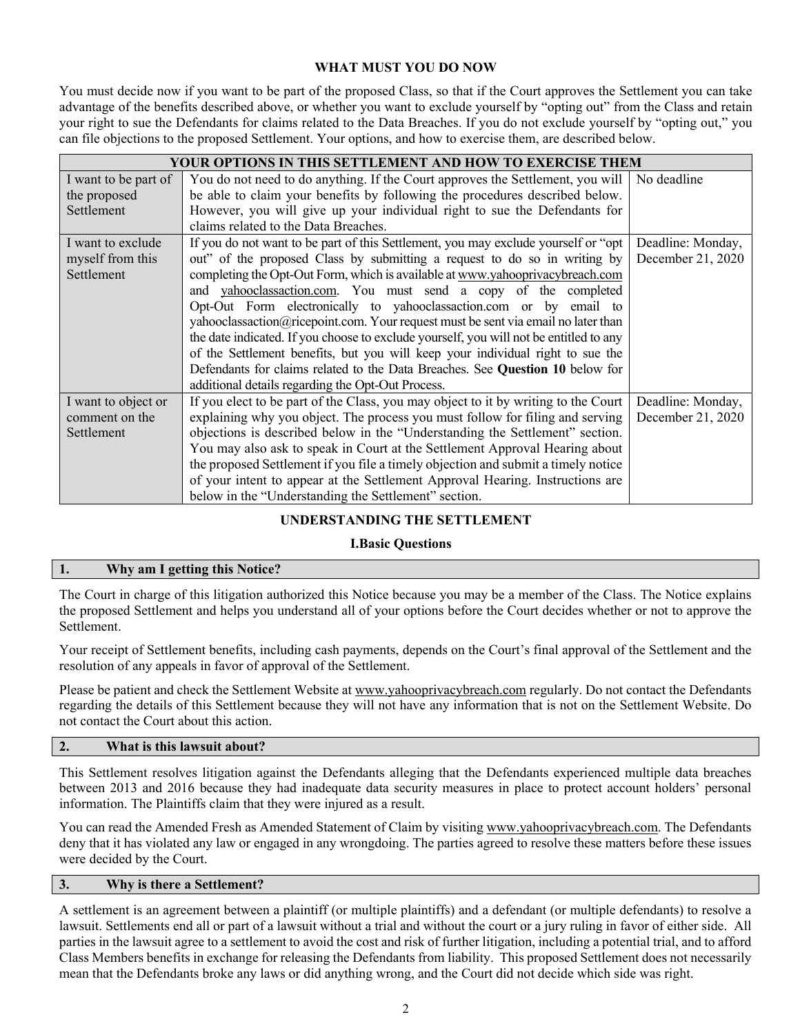# **WHAT MUST YOU DO NOW**

You must decide now if you want to be part of the proposed Class, so that if the Court approves the Settlement you can take advantage of the benefits described above, or whether you want to exclude yourself by "opting out" from the Class and retain your right to sue the Defendants for claims related to the Data Breaches. If you do not exclude yourself by "opting out," you can file objections to the proposed Settlement. Your options, and how to exercise them, are described below.

| YOUR OPTIONS IN THIS SETTLEMENT AND HOW TO EXERCISE THEM |                                                                                        |                   |  |
|----------------------------------------------------------|----------------------------------------------------------------------------------------|-------------------|--|
| I want to be part of                                     | You do not need to do anything. If the Court approves the Settlement, you will         | No deadline       |  |
| the proposed                                             | be able to claim your benefits by following the procedures described below.            |                   |  |
| Settlement                                               | However, you will give up your individual right to sue the Defendants for              |                   |  |
|                                                          | claims related to the Data Breaches.                                                   |                   |  |
| I want to exclude                                        | If you do not want to be part of this Settlement, you may exclude yourself or "opt"    | Deadline: Monday, |  |
| myself from this                                         | out" of the proposed Class by submitting a request to do so in writing by              | December 21, 2020 |  |
| Settlement                                               | completing the Opt-Out Form, which is available at www.yahooprivacybreach.com          |                   |  |
|                                                          | and vahooclassaction.com. You must send a copy of the completed                        |                   |  |
|                                                          | Opt-Out Form electronically to yahooclassaction.com or by email to                     |                   |  |
|                                                          | yahooclassaction@ricepoint.com. Your request must be sent via email no later than      |                   |  |
|                                                          | the date indicated. If you choose to exclude yourself, you will not be entitled to any |                   |  |
|                                                          | of the Settlement benefits, but you will keep your individual right to sue the         |                   |  |
|                                                          | Defendants for claims related to the Data Breaches. See Question 10 below for          |                   |  |
|                                                          | additional details regarding the Opt-Out Process.                                      |                   |  |
| I want to object or                                      | If you elect to be part of the Class, you may object to it by writing to the Court     | Deadline: Monday, |  |
| comment on the                                           | explaining why you object. The process you must follow for filing and serving          | December 21, 2020 |  |
| Settlement                                               | objections is described below in the "Understanding the Settlement" section.           |                   |  |
|                                                          | You may also ask to speak in Court at the Settlement Approval Hearing about            |                   |  |
|                                                          | the proposed Settlement if you file a timely objection and submit a timely notice      |                   |  |
|                                                          | of your intent to appear at the Settlement Approval Hearing. Instructions are          |                   |  |
|                                                          | below in the "Understanding the Settlement" section.                                   |                   |  |

# **UNDERSTANDING THE SETTLEMENT**

### **I.Basic Questions**

### **1. Why am I getting this Notice?**

The Court in charge of this litigation authorized this Notice because you may be a member of the Class. The Notice explains the proposed Settlement and helps you understand all of your options before the Court decides whether or not to approve the Settlement.

Your receipt of Settlement benefits, including cash payments, depends on the Court's final approval of the Settlement and the resolution of any appeals in favor of approval of the Settlement.

Please be patient and check the Settlement Website at www.yahooprivacybreach.com regularly. Do not contact the Defendants regarding the details of this Settlement because they will not have any information that is not on the Settlement Website. Do not contact the Court about this action.

# **2. What is this lawsuit about?**

This Settlement resolves litigation against the Defendants alleging that the Defendants experienced multiple data breaches between 2013 and 2016 because they had inadequate data security measures in place to protect account holders' personal information. The Plaintiffs claim that they were injured as a result.

You can read the Amended Fresh as Amended Statement of Claim by visiting www.yahooprivacybreach.com. The Defendants deny that it has violated any law or engaged in any wrongdoing. The parties agreed to resolve these matters before these issues were decided by the Court.

# **3. Why is there a Settlement?**

A settlement is an agreement between a plaintiff (or multiple plaintiffs) and a defendant (or multiple defendants) to resolve a lawsuit. Settlements end all or part of a lawsuit without a trial and without the court or a jury ruling in favor of either side. All parties in the lawsuit agree to a settlement to avoid the cost and risk of further litigation, including a potential trial, and to afford Class Members benefits in exchange for releasing the Defendants from liability. This proposed Settlement does not necessarily mean that the Defendants broke any laws or did anything wrong, and the Court did not decide which side was right.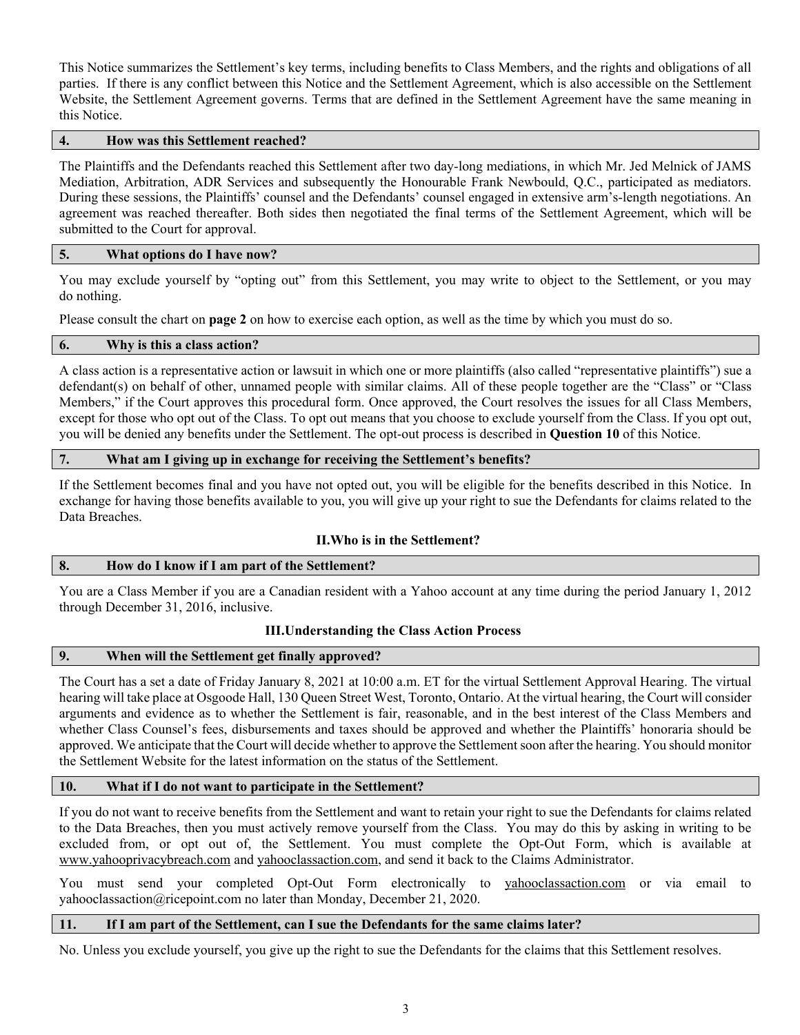This Notice summarizes the Settlement's key terms, including benefits to Class Members, and the rights and obligations of all parties. If there is any conflict between this Notice and the Settlement Agreement, which is also accessible on the Settlement Website, the Settlement Agreement governs. Terms that are defined in the Settlement Agreement have the same meaning in this Notice.

## **4. How was this Settlement reached?**

The Plaintiffs and the Defendants reached this Settlement after two day-long mediations, in which Mr. Jed Melnick of JAMS Mediation, Arbitration, ADR Services and subsequently the Honourable Frank Newbould, Q.C., participated as mediators. During these sessions, the Plaintiffs' counsel and the Defendants' counsel engaged in extensive arm's-length negotiations. An agreement was reached thereafter. Both sides then negotiated the final terms of the Settlement Agreement, which will be submitted to the Court for approval.

#### **5. What options do I have now?**

You may exclude yourself by "opting out" from this Settlement, you may write to object to the Settlement, or you may do nothing.

Please consult the chart on **page 2** on how to exercise each option, as well as the time by which you must do so.

### **6. Why is this a class action?**

A class action is a representative action or lawsuit in which one or more plaintiffs (also called "representative plaintiffs") sue a defendant(s) on behalf of other, unnamed people with similar claims. All of these people together are the "Class" or "Class Members," if the Court approves this procedural form. Once approved, the Court resolves the issues for all Class Members, except for those who opt out of the Class. To opt out means that you choose to exclude yourself from the Class. If you opt out, you will be denied any benefits under the Settlement. The opt-out process is described in **Question 10** of this Notice.

### **7. What am I giving up in exchange for receiving the Settlement's benefits?**

If the Settlement becomes final and you have not opted out, you will be eligible for the benefits described in this Notice. In exchange for having those benefits available to you, you will give up your right to sue the Defendants for claims related to the Data Breaches.

### **II.Who is in the Settlement?**

### **8. How do I know if I am part of the Settlement?**

You are a Class Member if you are a Canadian resident with a Yahoo account at any time during the period January 1, 2012 through December 31, 2016, inclusive.

### **III.Understanding the Class Action Process**

### **9. When will the Settlement get finally approved?**

The Court has a set a date of Friday January 8, 2021 at 10:00 a.m. ET for the virtual Settlement Approval Hearing. The virtual hearing will take place at Osgoode Hall, 130 Queen Street West, Toronto, Ontario. At the virtual hearing, the Court will consider arguments and evidence as to whether the Settlement is fair, reasonable, and in the best interest of the Class Members and whether Class Counsel's fees, disbursements and taxes should be approved and whether the Plaintiffs' honoraria should be approved. We anticipate that the Court will decide whether to approve the Settlement soon after the hearing. You should monitor the Settlement Website for the latest information on the status of the Settlement.

# **10. What if I do not want to participate in the Settlement?**

If you do not want to receive benefits from the Settlement and want to retain your right to sue the Defendants for claims related to the Data Breaches, then you must actively remove yourself from the Class. You may do this by asking in writing to be excluded from, or opt out of, the Settlement. You must complete the Opt-Out Form, which is available at www.yahooprivacybreach.com and yahooclassaction.com, and send it back to the Claims Administrator.

You must send your completed Opt-Out Form electronically to yahooclassaction.com or via email to yahooclassaction@ricepoint.com no later than Monday, December 21, 2020.

### **11. If I am part of the Settlement, can I sue the Defendants for the same claims later?**

No. Unless you exclude yourself, you give up the right to sue the Defendants for the claims that this Settlement resolves.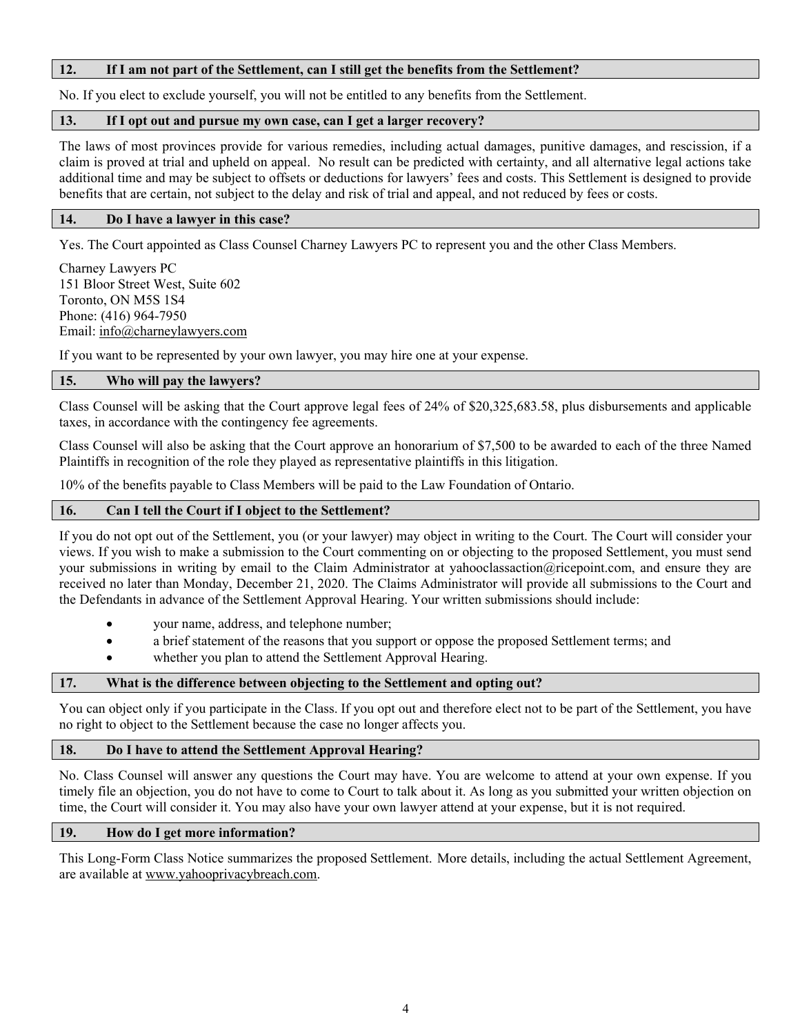### **12. If I am not part of the Settlement, can I still get the benefits from the Settlement?**

No. If you elect to exclude yourself, you will not be entitled to any benefits from the Settlement.

## **13. If I opt out and pursue my own case, can I get a larger recovery?**

The laws of most provinces provide for various remedies, including actual damages, punitive damages, and rescission, if a claim is proved at trial and upheld on appeal. No result can be predicted with certainty, and all alternative legal actions take additional time and may be subject to offsets or deductions for lawyers' fees and costs. This Settlement is designed to provide benefits that are certain, not subject to the delay and risk of trial and appeal, and not reduced by fees or costs.

## **14. Do I have a lawyer in this case?**

Yes. The Court appointed as Class Counsel Charney Lawyers PC to represent you and the other Class Members.

Charney Lawyers PC 151 Bloor Street West, Suite 602 Toronto, ON M5S 1S4 Phone: (416) 964-7950 Email: [info@charneylawyers.com](mailto:info@charneylawyers.com)

If you want to be represented by your own lawyer, you may hire one at your expense.

## **15. Who will pay the lawyers?**

Class Counsel will be asking that the Court approve legal fees of 24% of \$20,325,683.58, plus disbursements and applicable taxes, in accordance with the contingency fee agreements.

Class Counsel will also be asking that the Court approve an honorarium of \$7,500 to be awarded to each of the three Named Plaintiffs in recognition of the role they played as representative plaintiffs in this litigation.

10% of the benefits payable to Class Members will be paid to the Law Foundation of Ontario.

## **16. Can I tell the Court if I object to the Settlement?**

If you do not opt out of the Settlement, you (or your lawyer) may object in writing to the Court. The Court will consider your views. If you wish to make a submission to the Court commenting on or objecting to the proposed Settlement, you must send your submissions in writing by email to the Claim Administrator at yahooclassaction@ricepoint.com, and ensure they are received no later than Monday, December 21, 2020. The Claims Administrator will provide all submissions to the Court and the Defendants in advance of the Settlement Approval Hearing. Your written submissions should include:

- your name, address, and telephone number;
- a brief statement of the reasons that you support or oppose the proposed Settlement terms; and
- whether you plan to attend the Settlement Approval Hearing.

# **17. What is the difference between objecting to the Settlement and opting out?**

You can object only if you participate in the Class. If you opt out and therefore elect not to be part of the Settlement, you have no right to object to the Settlement because the case no longer affects you.

### **18. Do I have to attend the Settlement Approval Hearing?**

No. Class Counsel will answer any questions the Court may have. You are welcome to attend at your own expense. If you timely file an objection, you do not have to come to Court to talk about it. As long as you submitted your written objection on time, the Court will consider it. You may also have your own lawyer attend at your expense, but it is not required.

### **19. How do I get more information?**

This Long-Form Class Notice summarizes the proposed Settlement. More details, including the actual Settlement Agreement, are available at www.yahooprivacybreach.com.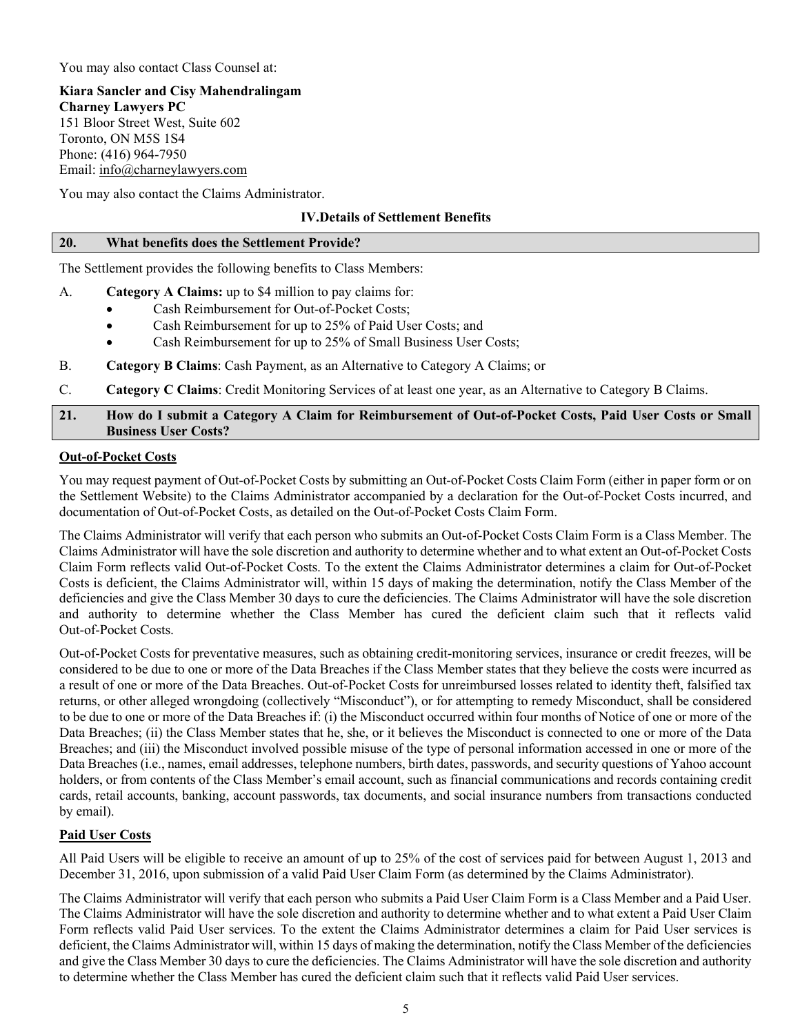You may also contact Class Counsel at:

**Kiara Sancler and Cisy Mahendralingam Charney Lawyers PC** 151 Bloor Street West, Suite 602 Toronto, ON M5S 1S4 Phone: (416) 964-7950 Email: [info@charneylawyers.com](mailto:info@charneylawyers.com)

You may also contact the Claims Administrator.

# **IV.Details of Settlement Benefits**

### **20. What benefits does the Settlement Provide?**

The Settlement provides the following benefits to Class Members:

- A. **Category A Claims:** up to \$4 million to pay claims for:
	- Cash Reimbursement for Out-of-Pocket Costs;
	- Cash Reimbursement for up to 25% of Paid User Costs; and
	- Cash Reimbursement for up to 25% of Small Business User Costs;
- B. **Category B Claims**: Cash Payment, as an Alternative to Category A Claims; or
- C. **Category C Claims**: Credit Monitoring Services of at least one year, as an Alternative to Category B Claims.

## **21. How do I submit a Category A Claim for Reimbursement of Out-of-Pocket Costs, Paid User Costs or Small Business User Costs?**

# **Out-of-Pocket Costs**

You may request payment of Out-of-Pocket Costs by submitting an Out-of-Pocket Costs Claim Form (either in paper form or on the Settlement Website) to the Claims Administrator accompanied by a declaration for the Out-of-Pocket Costs incurred, and documentation of Out-of-Pocket Costs, as detailed on the Out-of-Pocket Costs Claim Form.

The Claims Administrator will verify that each person who submits an Out-of-Pocket Costs Claim Form is a Class Member. The Claims Administrator will have the sole discretion and authority to determine whether and to what extent an Out-of-Pocket Costs Claim Form reflects valid Out-of-Pocket Costs. To the extent the Claims Administrator determines a claim for Out-of-Pocket Costs is deficient, the Claims Administrator will, within 15 days of making the determination, notify the Class Member of the deficiencies and give the Class Member 30 days to cure the deficiencies. The Claims Administrator will have the sole discretion and authority to determine whether the Class Member has cured the deficient claim such that it reflects valid Out-of-Pocket Costs.

Out-of-Pocket Costs for preventative measures, such as obtaining credit-monitoring services, insurance or credit freezes, will be considered to be due to one or more of the Data Breaches if the Class Member states that they believe the costs were incurred as a result of one or more of the Data Breaches. Out-of-Pocket Costs for unreimbursed losses related to identity theft, falsified tax returns, or other alleged wrongdoing (collectively "Misconduct"), or for attempting to remedy Misconduct, shall be considered to be due to one or more of the Data Breaches if: (i) the Misconduct occurred within four months of Notice of one or more of the Data Breaches; (ii) the Class Member states that he, she, or it believes the Misconduct is connected to one or more of the Data Breaches; and (iii) the Misconduct involved possible misuse of the type of personal information accessed in one or more of the Data Breaches (i.e., names, email addresses, telephone numbers, birth dates, passwords, and security questions of Yahoo account holders, or from contents of the Class Member's email account, such as financial communications and records containing credit cards, retail accounts, banking, account passwords, tax documents, and social insurance numbers from transactions conducted by email).

# **Paid User Costs**

All Paid Users will be eligible to receive an amount of up to 25% of the cost of services paid for between August 1, 2013 and December 31, 2016, upon submission of a valid Paid User Claim Form (as determined by the Claims Administrator).

The Claims Administrator will verify that each person who submits a Paid User Claim Form is a Class Member and a Paid User. The Claims Administrator will have the sole discretion and authority to determine whether and to what extent a Paid User Claim Form reflects valid Paid User services. To the extent the Claims Administrator determines a claim for Paid User services is deficient, the Claims Administrator will, within 15 days of making the determination, notify the Class Member of the deficiencies and give the Class Member 30 days to cure the deficiencies. The Claims Administrator will have the sole discretion and authority to determine whether the Class Member has cured the deficient claim such that it reflects valid Paid User services.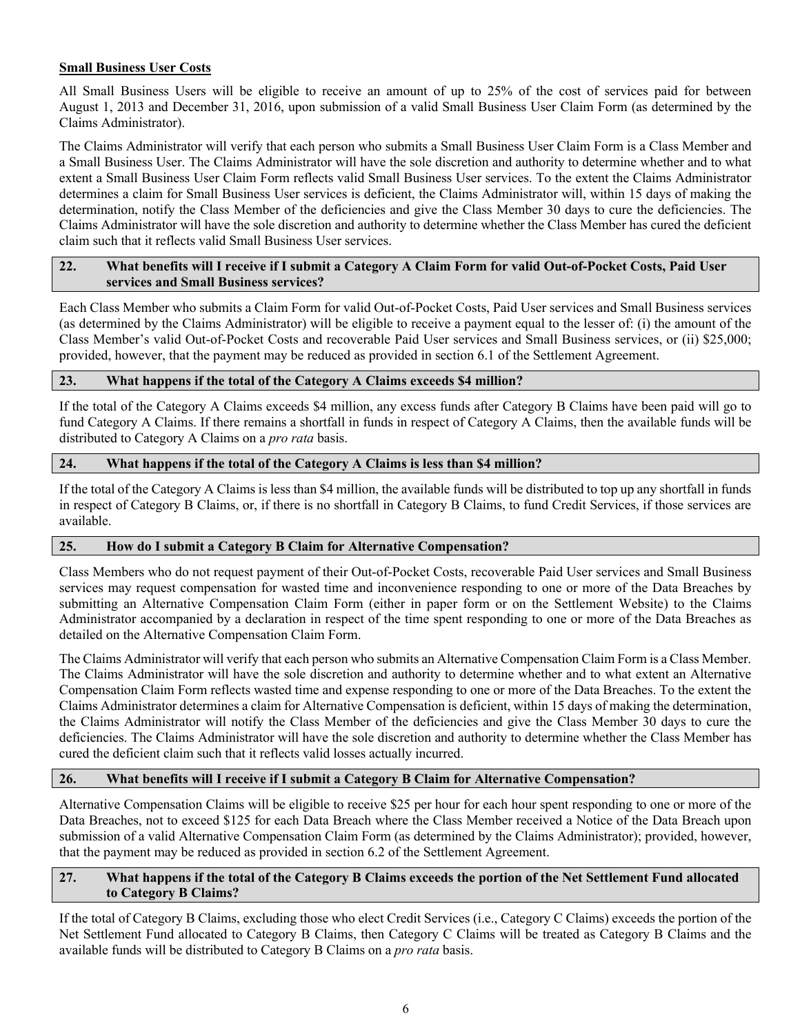# **Small Business User Costs**

All Small Business Users will be eligible to receive an amount of up to 25% of the cost of services paid for between August 1, 2013 and December 31, 2016, upon submission of a valid Small Business User Claim Form (as determined by the Claims Administrator).

The Claims Administrator will verify that each person who submits a Small Business User Claim Form is a Class Member and a Small Business User. The Claims Administrator will have the sole discretion and authority to determine whether and to what extent a Small Business User Claim Form reflects valid Small Business User services. To the extent the Claims Administrator determines a claim for Small Business User services is deficient, the Claims Administrator will, within 15 days of making the determination, notify the Class Member of the deficiencies and give the Class Member 30 days to cure the deficiencies. The Claims Administrator will have the sole discretion and authority to determine whether the Class Member has cured the deficient claim such that it reflects valid Small Business User services.

## **22. What benefits will I receive if I submit a Category A Claim Form for valid Out-of-Pocket Costs, Paid User services and Small Business services?**

Each Class Member who submits a Claim Form for valid Out-of-Pocket Costs, Paid User services and Small Business services (as determined by the Claims Administrator) will be eligible to receive a payment equal to the lesser of: (i) the amount of the Class Member's valid Out-of-Pocket Costs and recoverable Paid User services and Small Business services, or (ii) \$25,000; provided, however, that the payment may be reduced as provided in section 6.1 of the Settlement Agreement.

# **23. What happens if the total of the Category A Claims exceeds \$4 million?**

If the total of the Category A Claims exceeds \$4 million, any excess funds after Category B Claims have been paid will go to fund Category A Claims. If there remains a shortfall in funds in respect of Category A Claims, then the available funds will be distributed to Category A Claims on a *pro rata* basis.

# **24. What happens if the total of the Category A Claims is less than \$4 million?**

If the total of the Category A Claims is less than \$4 million, the available funds will be distributed to top up any shortfall in funds in respect of Category B Claims, or, if there is no shortfall in Category B Claims, to fund Credit Services, if those services are available.

# **25. How do I submit a Category B Claim for Alternative Compensation?**

Class Members who do not request payment of their Out-of-Pocket Costs, recoverable Paid User services and Small Business services may request compensation for wasted time and inconvenience responding to one or more of the Data Breaches by submitting an Alternative Compensation Claim Form (either in paper form or on the Settlement Website) to the Claims Administrator accompanied by a declaration in respect of the time spent responding to one or more of the Data Breaches as detailed on the Alternative Compensation Claim Form.

The Claims Administrator will verify that each person who submits an Alternative Compensation Claim Form is a Class Member. The Claims Administrator will have the sole discretion and authority to determine whether and to what extent an Alternative Compensation Claim Form reflects wasted time and expense responding to one or more of the Data Breaches. To the extent the Claims Administrator determines a claim for Alternative Compensation is deficient, within 15 days of making the determination, the Claims Administrator will notify the Class Member of the deficiencies and give the Class Member 30 days to cure the deficiencies. The Claims Administrator will have the sole discretion and authority to determine whether the Class Member has cured the deficient claim such that it reflects valid losses actually incurred.

# **26. What benefits will I receive if I submit a Category B Claim for Alternative Compensation?**

Alternative Compensation Claims will be eligible to receive \$25 per hour for each hour spent responding to one or more of the Data Breaches, not to exceed \$125 for each Data Breach where the Class Member received a Notice of the Data Breach upon submission of a valid Alternative Compensation Claim Form (as determined by the Claims Administrator); provided, however, that the payment may be reduced as provided in section 6.2 of the Settlement Agreement.

# **27. What happens if the total of the Category B Claims exceeds the portion of the Net Settlement Fund allocated to Category B Claims?**

If the total of Category B Claims, excluding those who elect Credit Services (i.e., Category C Claims) exceeds the portion of the Net Settlement Fund allocated to Category B Claims, then Category C Claims will be treated as Category B Claims and the available funds will be distributed to Category B Claims on a *pro rata* basis.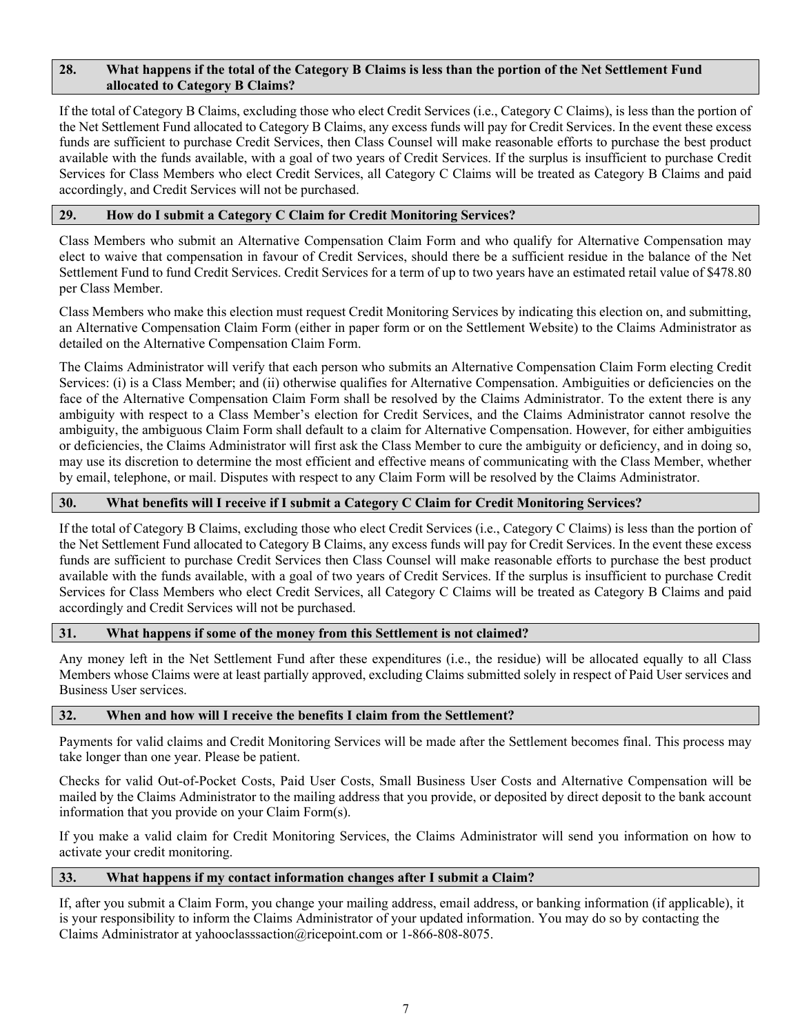### **28. What happens if the total of the Category B Claims is less than the portion of the Net Settlement Fund allocated to Category B Claims?**

If the total of Category B Claims, excluding those who elect Credit Services (i.e., Category C Claims), is less than the portion of the Net Settlement Fund allocated to Category B Claims, any excess funds will pay for Credit Services. In the event these excess funds are sufficient to purchase Credit Services, then Class Counsel will make reasonable efforts to purchase the best product available with the funds available, with a goal of two years of Credit Services. If the surplus is insufficient to purchase Credit Services for Class Members who elect Credit Services, all Category C Claims will be treated as Category B Claims and paid accordingly, and Credit Services will not be purchased.

## **29. How do I submit a Category C Claim for Credit Monitoring Services?**

Class Members who submit an Alternative Compensation Claim Form and who qualify for Alternative Compensation may elect to waive that compensation in favour of Credit Services, should there be a sufficient residue in the balance of the Net Settlement Fund to fund Credit Services. Credit Services for a term of up to two years have an estimated retail value of \$478.80 per Class Member.

Class Members who make this election must request Credit Monitoring Services by indicating this election on, and submitting, an Alternative Compensation Claim Form (either in paper form or on the Settlement Website) to the Claims Administrator as detailed on the Alternative Compensation Claim Form.

The Claims Administrator will verify that each person who submits an Alternative Compensation Claim Form electing Credit Services: (i) is a Class Member; and (ii) otherwise qualifies for Alternative Compensation. Ambiguities or deficiencies on the face of the Alternative Compensation Claim Form shall be resolved by the Claims Administrator. To the extent there is any ambiguity with respect to a Class Member's election for Credit Services, and the Claims Administrator cannot resolve the ambiguity, the ambiguous Claim Form shall default to a claim for Alternative Compensation. However, for either ambiguities or deficiencies, the Claims Administrator will first ask the Class Member to cure the ambiguity or deficiency, and in doing so, may use its discretion to determine the most efficient and effective means of communicating with the Class Member, whether by email, telephone, or mail. Disputes with respect to any Claim Form will be resolved by the Claims Administrator.

# **30. What benefits will I receive if I submit a Category C Claim for Credit Monitoring Services?**

If the total of Category B Claims, excluding those who elect Credit Services (i.e., Category C Claims) is less than the portion of the Net Settlement Fund allocated to Category B Claims, any excess funds will pay for Credit Services. In the event these excess funds are sufficient to purchase Credit Services then Class Counsel will make reasonable efforts to purchase the best product available with the funds available, with a goal of two years of Credit Services. If the surplus is insufficient to purchase Credit Services for Class Members who elect Credit Services, all Category C Claims will be treated as Category B Claims and paid accordingly and Credit Services will not be purchased.

### **31. What happens if some of the money from this Settlement is not claimed?**

Any money left in the Net Settlement Fund after these expenditures (i.e., the residue) will be allocated equally to all Class Members whose Claims were at least partially approved, excluding Claims submitted solely in respect of Paid User services and Business User services.

### **32. When and how will I receive the benefits I claim from the Settlement?**

Payments for valid claims and Credit Monitoring Services will be made after the Settlement becomes final. This process may take longer than one year. Please be patient.

Checks for valid Out-of-Pocket Costs, Paid User Costs, Small Business User Costs and Alternative Compensation will be mailed by the Claims Administrator to the mailing address that you provide, or deposited by direct deposit to the bank account information that you provide on your Claim Form(s).

If you make a valid claim for Credit Monitoring Services, the Claims Administrator will send you information on how to activate your credit monitoring.

### **33. What happens if my contact information changes after I submit a Claim?**

If, after you submit a Claim Form, you change your mailing address, email address, or banking information (if applicable), it is your responsibility to inform the Claims Administrator of your updated information. You may do so by contacting the Claims Administrator at yahooclasssaction@ricepoint.com or 1-866-808-8075.